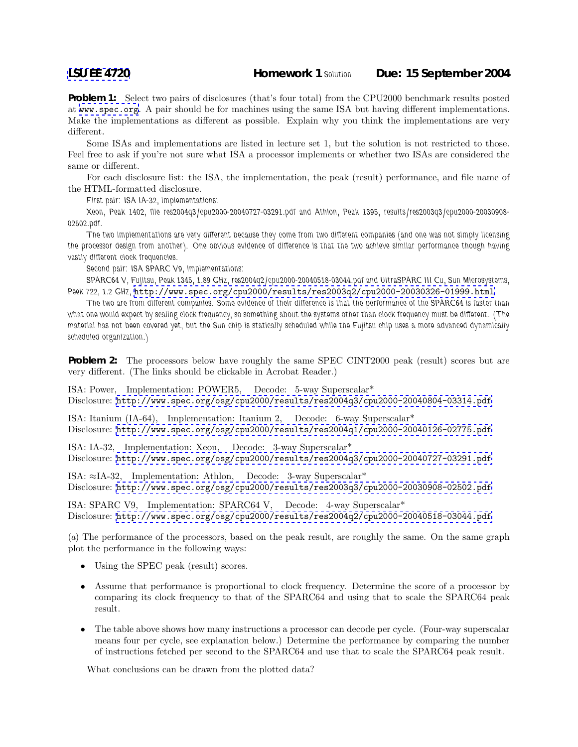**[LSU EE 4720](http://www.ece.lsu.edu/ee4720/) Homework 1** *Solution* **Due: 15 September 2004**

**Problem 1:** Select two pairs of disclosures (that's four total) from the CPU2000 benchmark results posted at <www.spec.org>. A pair should be for machines using the same ISA but having different implementations. Make the implementations as different as possible. Explain why you think the implementations are very different.

Some ISAs and implementations are listed in lecture set 1, but the solution is not restricted to those. Feel free to ask if you're not sure what ISA a processor implements or whether two ISAs are considered the same or different.

For each disclosure list: the ISA, the implementation, the peak (result) performance, and file name of the HTML-formatted disclosure.

*First pair: ISA IA-32, implementations:*

*Xeon, Peak 1402, file res2004q3/cpu2000-20040727-03291.pdf and Athlon, Peak 1395, results/res2003q3/cpu2000-20030908- 02502.pdf.*

*The two implementations are very different because they come from two different companies (and one was not simply licensing the processor design from another). One obvious evidence of difference is that the two achieve similar performance though having vastly different clock frequencies.*

*Second pair: ISA SPARC V9, implementations:*

*SPARC64 V, Fujitsu, Peak 1345, 1.89 GHz, res2004q2/cpu2000-20040518-03044.pdf and UltraSPARC III Cu, Sun Microsystems, Peek 722, 1.2 GHz,* <http://www.spec.org/cpu2000/results/res2003q2/cpu2000-20030326-01999.html>

*The two are from different companies. Some evidence of their difference is that the performance of the SPARC64 is faster than what one would expect by scaling clock frequency, so something about the systems other than clock frequency must be different. (The material has not been covered yet, but the Sun chip is statically scheduled while the Fujitsu chip uses a more advanced dynamically scheduled organization.)*

**Problem 2:** The processors below have roughly the same SPEC CINT2000 peak (result) scores but are very different. (The links should be clickable in Acrobat Reader.)

ISA: Power, Implementation: POWER5, Decode: 5-way Superscalar\* Disclosure: <http://www.spec.org/osg/cpu2000/results/res2004q3/cpu2000-20040804-03314.pdf>

ISA: Itanium (IA-64), Implementation: Itanium 2, Decode: 6-way Superscalar\* Disclosure: <http://www.spec.org/osg/cpu2000/results/res2004q1/cpu2000-20040126-02775.pdf>

ISA: IA-32, Implementation: Xeon, Decode: 3-way Superscalar\* Disclosure: <http://www.spec.org/osg/cpu2000/results/res2004q3/cpu2000-20040727-03291.pdf>

ISA: ≈IA-32, Implementation: Athlon, Decode: 3-way Superscalar\* Disclosure: <http://www.spec.org/osg/cpu2000/results/res2003q3/cpu2000-20030908-02502.pdf>

ISA: SPARC V9, Implementation: SPARC64 V, Decode: 4-way Superscalar\* Disclosure: <http://www.spec.org/osg/cpu2000/results/res2004q2/cpu2000-20040518-03044.pdf>

(*a*) The performance of the processors, based on the peak result, are roughly the same. On the same graph plot the performance in the following ways:

- Using the SPEC peak (result) scores.
- Assume that performance is proportional to clock frequency. Determine the score of a processor by comparing its clock frequency to that of the SPARC64 and using that to scale the SPARC64 peak result.
- The table above shows how many instructions a processor can decode per cycle. (Four-way superscalar means four per cycle, see explanation below.) Determine the performance by comparing the number of instructions fetched per second to the SPARC64 and use that to scale the SPARC64 peak result.

What conclusions can be drawn from the plotted data?